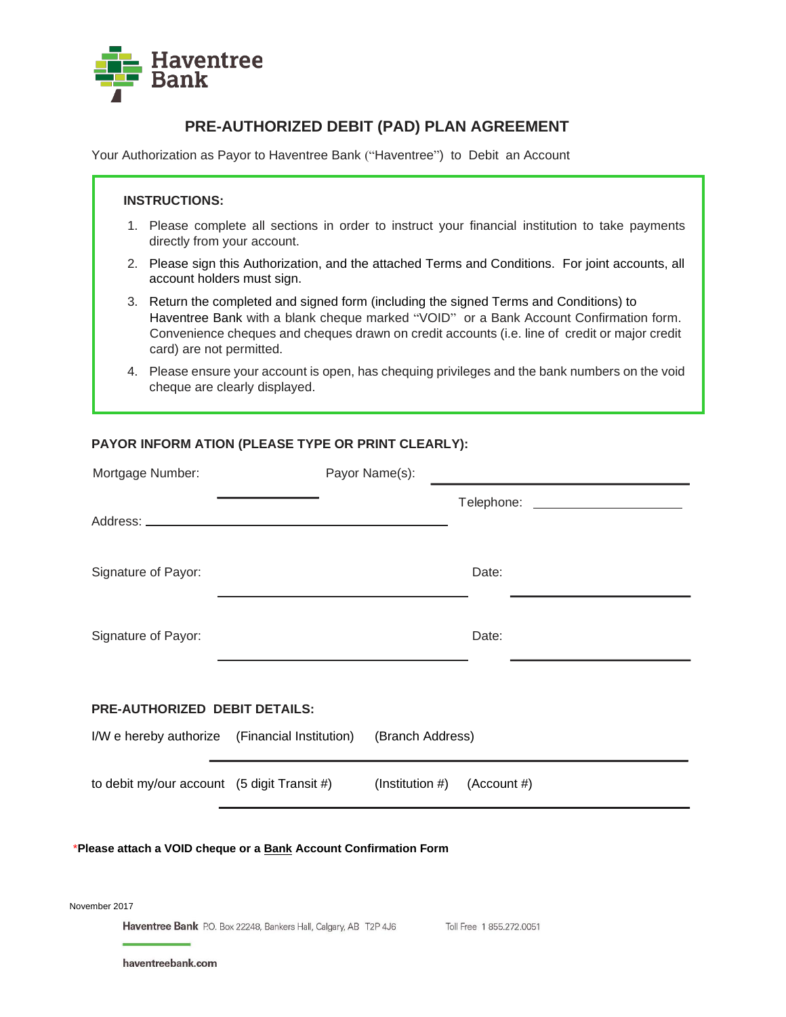

# **PRE-AUTHORIZED DEBIT (PAD) PLAN AGREEMENT**

Your Authorization as Payor to Haventree Bank ("Haventree") to Debit an Account

### **INSTRUCTIONS:**

- 1. Please complete all sections in order to instruct your financial institution to take payments directly from your account.
- 2. Please sign this Authorization, and the attached Terms and Conditions. For joint accounts, all account holders must sign.
- 3. Return the completed and signed form (including the signed Terms and Conditions) to Haventree Bank with a blank cheque marked "VOID" or a Bank Account Confirmation form. Convenience cheques and cheques drawn on credit accounts (i.e. line of credit or major credit card) are not permitted.
- 4. Please ensure your account is open, has chequing privileges and the bank numbers on the void cheque are clearly displayed.

## **PAYOR INFORM ATION (PLEASE TYPE OR PRINT CLEARLY):**

| Mortgage Number:                               |  | Payor Name(s):                |                                    |
|------------------------------------------------|--|-------------------------------|------------------------------------|
|                                                |  |                               | Telephone: _______________________ |
| Signature of Payor:                            |  |                               | Date:                              |
| Signature of Payor:                            |  |                               | Date:                              |
| <b>PRE-AUTHORIZED DEBIT DETAILS:</b>           |  |                               |                                    |
| I/W e hereby authorize (Financial Institution) |  | (Branch Address)              |                                    |
| to debit my/our account (5 digit Transit #)    |  | (Institution #) $(Account #)$ |                                    |
|                                                |  |                               |                                    |

#### \***Please attach a VOID cheque or a Bank Account Confirmation Form**

November 2017

Haventree Bank P.O. Box 22248, Bankers Hall, Calgary, AB T2P 4J6 Toll Free 1 855.272.0051

haventreebank.com